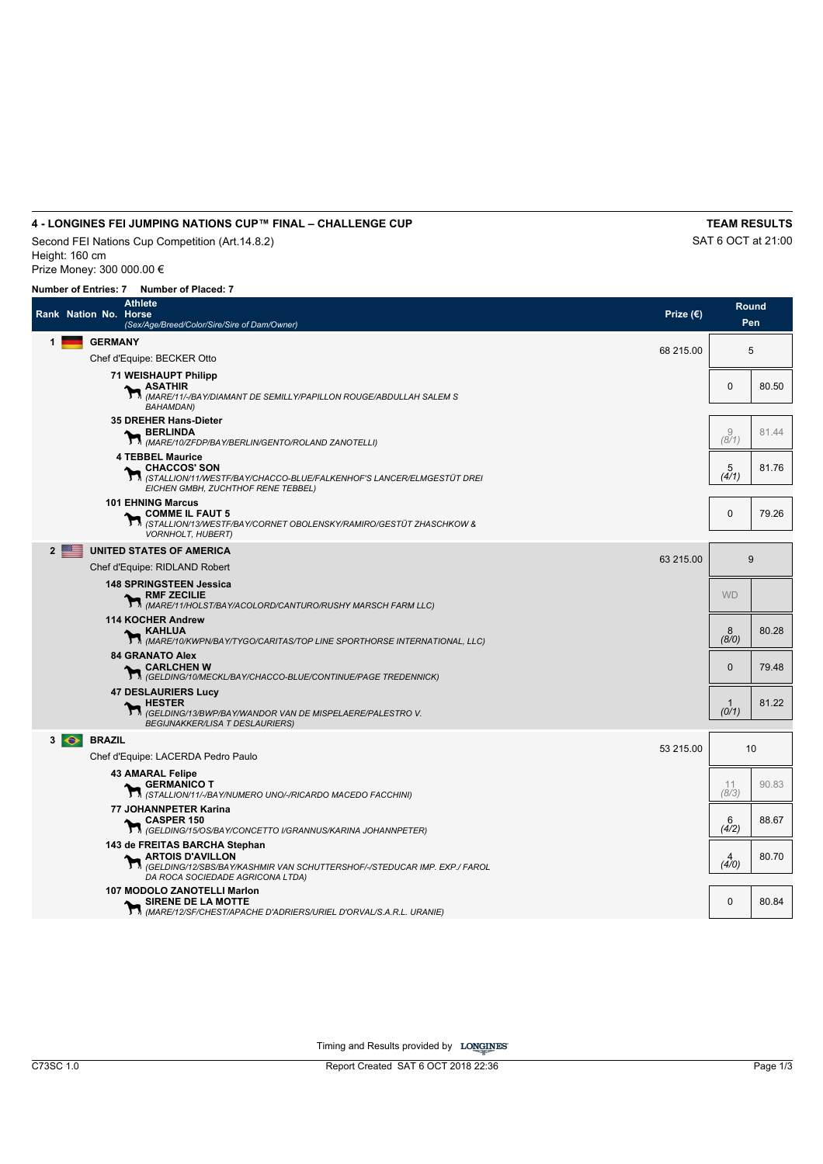# **4 - LONGINES FEI JUMPING NATIONS CUP™ FINAL – CHALLENGE CUP TEAM RESULTS**

Second FEI Nations Cup Competition (Art.14.8.2) SAT 6 OCT at 21:00 Height: 160 cm Prize Money: 300 000.00 €

|   | <b>Athlete</b><br>Rank Nation No. Horse<br>(Sex/Age/Breed/Color/Sire/Sire of Dam/Owner)                                                                                     | Prize $(\epsilon)$ |                         | Round<br>Pen |
|---|-----------------------------------------------------------------------------------------------------------------------------------------------------------------------------|--------------------|-------------------------|--------------|
| 1 | <b>GERMANY</b>                                                                                                                                                              | 68 215.00          |                         | 5            |
|   | Chef d'Equipe: BECKER Otto                                                                                                                                                  |                    |                         |              |
|   | <b>71 WEISHAUPT Philipp</b><br><b>ASATHIR</b><br><b>ASATHIK</b><br>$\mathcal{M}_{(MARE/11/\beta AY/DIAMANT DE SEMILLY/PAPILLON ROUGE/ABDULLAH SALEM S)$<br><b>BAHAMDAN)</b> |                    | 0                       | 80.50        |
|   | 35 DREHER Hans-Dieter<br><b>BERLINDA</b><br>(MARE/10/ZFDP/BAY/BERLIN/GENTO/ROLAND ZANOTELLI)                                                                                |                    | 9<br>(8/1)              | 81.44        |
|   | <b>4 TEBBEL Maurice</b><br><b>CHACCOS' SON</b><br>(STALLION/11/WESTF/BAY/CHACCO-BLUE/FALKENHOF'S LANCER/ELMGESTÜT DREI<br>EICHEN GMBH, ZUCHTHOF RENE TEBBEL)                |                    | $\frac{5}{(4/1)}$       | 81.76        |
|   | <b>101 EHNING Marcus</b><br>COMME IL FAUT 5<br>STALLION/13/WESTF/BAY/CORNET OBOLENSKY/RAMIRO/GESTÜT ZHASCHKOW &<br><b>VORNHOLT, HUBERT)</b>                                 |                    | $\mathbf{0}$            | 79.26        |
|   | $\overline{\phantom{a}}$<br><b>UNITED STATES OF AMERICA</b>                                                                                                                 | 63 215.00          |                         | 9            |
|   | Chef d'Equipe: RIDLAND Robert                                                                                                                                               |                    |                         |              |
|   | <b>148 SPRINGSTEEN Jessica</b><br>、RMF ZECILIE<br>M (MARE/11/HOLST/BAY/ACOLORD/CANTURO/RUSHY MARSCH FARM LLC)                                                               |                    | <b>WD</b>               |              |
|   | <b>114 KOCHER Andrew</b><br><b>_ KAHLUA</b><br><b>AAHLUA</b><br>$\boldsymbol{\gamma}$ <sub>(MARE/10/KWPN/BAY/TYGO/CARITAS/TOP LINE SPORTHORSE INTERNATIONAL, LLC)</sub>     |                    | 8<br>(8/0)              | 80.28        |
|   | <b>84 GRANATO Alex</b><br>, CARLCHEN W<br>T M (GELDING/10/MECKL/BAY/CHACCO-BLUE/CONTINUE/PAGE TREDENNICK)                                                                   |                    | $\mathbf{0}$            | 79.48        |
|   | <b>47 DESLAURIERS Lucy</b><br><b>HESTER</b><br>(GELDING/13/BWP/BAY/WANDOR VAN DE MISPELAERE/PALESTRO V.<br><b>BEGIJNAKKER/LISA T DESLAURIERS)</b>                           |                    | $\mathbf{1}$<br>(0/1)   | 81.22        |
|   | $3 \odot$<br><b>BRAZIL</b>                                                                                                                                                  |                    |                         |              |
|   | Chef d'Equipe: LACERDA Pedro Paulo                                                                                                                                          | 53 215.00          |                         | 10           |
|   | <b>43 AMARAL Felipe</b><br><b>GERMANICO T</b><br>1/3 (STALLION/11/-/BAY/NUMERO UNO/-/RICARDO MACEDO FACCHINI)                                                               |                    | 11<br>(8/3)             | 90.83        |
|   | 77 JOHANNPETER Karina<br><b>CASPER 150</b><br>16 (GELDING/15/OS/BAY/CONCETTO I/GRANNUS/KARINA JOHANNPETER)                                                                  |                    | 6<br>(4/2)              | 88.67        |
|   | 143 de FREITAS BARCHA Stephan<br><b>ARTOIS D'AVILLON</b><br>(GELDING/12/SBS/BAY/KASHMIR VAN SCHUTTERSHOF/-/STEDUCAR IMP. EXP./ FAROL<br>DA ROCA SOCIEDADE AGRICONA LTDA)    |                    | $\overline{a}$<br>(4/0) | 80.70        |
|   | <b>107 MODOLO ZANOTELLI Marlon</b><br>SIRENE DE LA MOTTE<br>SIRENE UE LA MUI I E<br>$\mathcal{M}_{(MARE/12/SFCHEST/APACHE D'ADRIERS/URIEL\ D'ORVAL/S.A.R.L. URANIE)}$       |                    | $\mathbf 0$             | 80.84        |

Timing and Results provided by LONGINES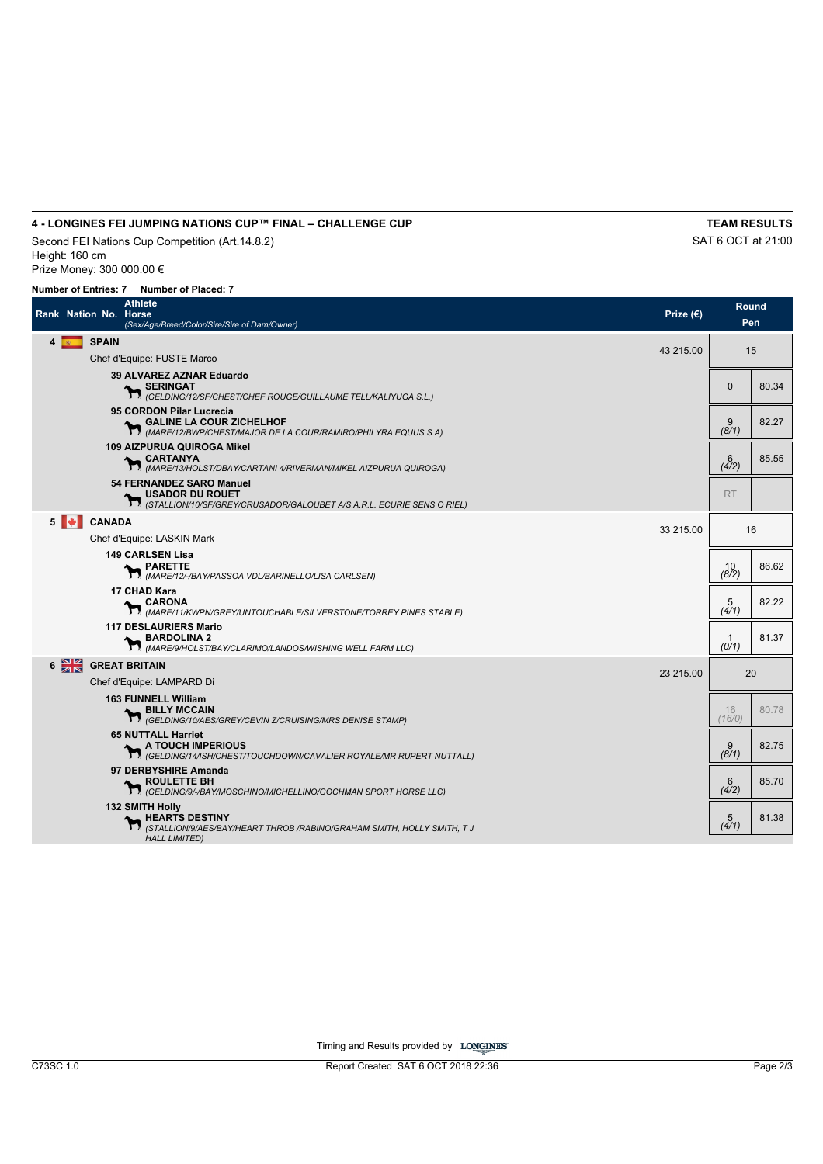# **4 - LONGINES FEI JUMPING NATIONS CUP™ FINAL – CHALLENGE CUP TEAM RESULTS**

Second FEI Nations Cup Competition (Art.14.8.2) SAT 6 OCT at 21:00 Height: 160 cm Prize Money: 300 000.00 €

## **Number of Entries: 7 Number of Placed: 7**

| Rank Nation No. Horse               | Athlete<br>(Sex/Age/Breed/Color/Sire/Sire of Dam/Owner)                                                                               | Prize $(\epsilon)$ | Round<br>Pen      |       |  |
|-------------------------------------|---------------------------------------------------------------------------------------------------------------------------------------|--------------------|-------------------|-------|--|
| $4$ $\overline{\ }$<br><b>SPAIN</b> | Chef d'Equipe: FUSTE Marco                                                                                                            | 43 215.00          |                   | 15    |  |
|                                     | 39 ALVAREZ AZNAR Eduardo<br>SERINGAT<br><b>SERING/12/SF/CHEST/CHEF ROUGE/GUILLAUME TELL/KALIYUGA S.L.)</b>                            |                    | $\Omega$          | 80.34 |  |
|                                     | 95 CORDON Pilar Lucrecia<br>GALINE LA COUR ZICHELHOF<br>MARE/12/BWP/CHEST/MAJOR DE LA COUR/RAMIRO/PHILYRA EQUUS S.A)                  |                    | $\frac{9}{(8/1)}$ | 82.27 |  |
|                                     | <b>109 AIZPURUA QUIROGA Mikel</b><br>CARTANYA<br>M <i>(MARE/13/HOLST/DBAY/CARTANI 4/RIVERMAN/MIKEL AIZPURUA QUIROGA)</i>              |                    | $6$ (4/2)         | 85.55 |  |
|                                     | 54 FERNANDEZ SARO Manuel<br><b>MISADOR DU ROUET</b><br><b>M</b> (STALLION/10/SF/GREY/CRUSADOR/GALOUBET A/S.A.R.L. ECURIE SENS O RIEL) |                    | <b>RT</b>         |       |  |
| $5$ $\blacktriangleright$           | <b>CANADA</b><br>Chef d'Equipe: LASKIN Mark                                                                                           | 33 215.00          | 16                |       |  |
|                                     | <b>149 CARLSEN Lisa</b><br><b>PARETTE</b><br>M <i>(MARE/12/-IBAY/PASSOA VDL/BARINELLO/LISA CARLSEN)</i>                               |                    | 10<br>(8/2)       | 86.62 |  |
|                                     | 17 CHAD Kara<br><b>LARONA</b><br>MARE/11/KWPN/GREY/UNTOUCHABLE/SILVERSTONE/TORREY PINES STABLE)                                       |                    | $\frac{5}{(4/1)}$ | 82.22 |  |
|                                     | <b>117 DESLAURIERS Mario</b><br>BARDOLINA 2<br>MARE/9/HOLST/BAY/CLARIMO/LANDOS/WISHING WELL FARM LLC)                                 |                    | -1<br>(0/1)       | 81.37 |  |
| $6 \frac{\text{N}}{\text{N}}$       | <b>GREAT BRITAIN</b>                                                                                                                  | 23 215.00          |                   | 20    |  |
|                                     | Chef d'Equipe: LAMPARD Di                                                                                                             |                    |                   |       |  |
|                                     | <b>163 FUNNELL William</b><br>BILLY MCCAIN<br>(GELDING/10/AES/GREY/CEVIN Z/CRUISING/MRS DENISE STAMP)                                 |                    | 16<br>(16/0)      | 80.78 |  |
|                                     | <b>65 NUTTALL Harriet</b><br>A TOUCH IMPERIOUS<br>1. (GELDING/14/ISH/CHEST/TOUCHDOWN/CAVALIER ROYALE/MR RUPERT NUTTALL)               |                    | 9<br>(8/1)        | 82.75 |  |
|                                     | 97 DERBYSHIRE Amanda<br>ROULETTE BH<br>(GELDING/9/-/BAY/MOSCHINO/MICHELLINO/GOCHMAN SPORT HORSE LLC)                                  |                    | 6<br>(4/2)        | 85.70 |  |
|                                     | <b>132 SMITH Holly</b><br><b>HEARTS DESTINY</b><br>(STALLION/9/AES/BAY/HEART THROB /RABINO/GRAHAM SMITH, HOLLY SMITH, T J             |                    | 5<br>(4/1)        | 81.38 |  |
|                                     | <b>HALL LIMITED)</b>                                                                                                                  |                    |                   |       |  |